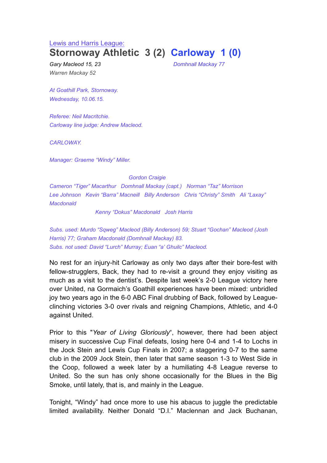#### Lewis and Harris League:

# **Stornoway Athletic 3 (2) Carloway 1 (0)**

*Warren Mackay 52*

*Gary Macleod 15, 23 Domhnall Mackay 77*

*At Goathill Park, Stornoway. Wednesday, 10.06.15.*

*Referee: Neil Macritchie. Carloway line judge: Andrew Macleod.*

*CARLOWAY.*

*Manager: Graeme "Windy" Miller.*

*Gordon Craigie*

*Cameron "Tiger" Macarthur Domhnall Mackay (capt.) Norman "Taz" Morrison Lee Johnson Kevin "Barra" Macneill Billy Anderson Chris "Christy" Smith Ali "Laxay" Macdonald*

*Kenny "Dokus" Macdonald Josh Harris*

*Subs. used: Murdo "Sqweg" Macleod (Billy Anderson) 59; Stuart "Gochan" Macleod (Josh Harris) 77; Graham Macdonald (Domhnall Mackay) 83. Subs. not used: David "Lurch" Murray; Euan "a' Ghuilc" Macleod.*

No rest for an injury-hit Carloway as only two days after their bore-fest with fellow-strugglers, Back, they had to re-visit a ground they enjoy visiting as much as a visit to the dentist's. Despite last week's 2-0 League victory here over United, na Gormaich's Goathill experiences have been mixed: unbridled joy two years ago in the 6-0 ABC Final drubbing of Back, followed by Leagueclinching victories 3-0 over rivals and reigning Champions, Athletic, and 4-0 against United.

Prior to this "*Year of Living Gloriously*", however, there had been abject misery in successive Cup Final defeats, losing here 0-4 and 1-4 to Lochs in the Jock Stein and Lewis Cup Finals in 2007; a staggering 0-7 to the same club in the 2009 Jock Stein, then later that same season 1-3 to West Side in the Coop, followed a week later by a humiliating 4-8 League reverse to United. So the sun has only shone occasionally for the Blues in the Big Smoke, until lately, that is, and mainly in the League.

Tonight, "Windy" had once more to use his abacus to juggle the predictable limited availability. Neither Donald "D.I." Maclennan and Jack Buchanan,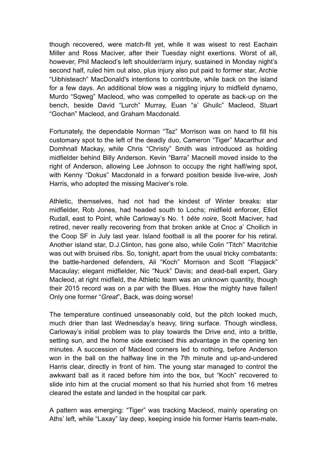though recovered, were match-fit yet, while it was wisest to rest Eachain Miller and Ross Maciver, after their Tuesday night exertions. Worst of all, however, Phil Macleod's left shoulder/arm injury, sustained in Monday night's second half, ruled him out also, plus injury also put paid to former star, Archie "Uibhisteach" MacDonald's intentions to contribute, while back on the island for a few days. An additional blow was a niggling injury to midfield dynamo, Murdo "Sqweg" Macleod, who was compelled to operate as back-up on the bench, beside David "Lurch" Murray, Euan "a' Ghuilc" Macleod, Stuart "Gochan" Macleod, and Graham Macdonald.

Fortunately, the dependable Norman "Taz" Morrison was on hand to fill his customary spot to the left of the deadly duo, Cameron "Tiger" Macarthur and Domhnall Mackay, while Chris "Christy" Smith was introduced as holding midfielder behind Billy Anderson. Kevin "Barra" Macneill moved inside to the right of Anderson, allowing Lee Johnson to occupy the right half/wing spot, with Kenny "Dokus" Macdonald in a forward position beside live-wire, Josh Harris, who adopted the missing Maciver's role.

Athletic, themselves, had not had the kindest of Winter breaks: star midfielder, Rob Jones, had headed south to Lochs; midfield enforcer, Elliot Rudall, east to Point, while Carloway's No. 1 *bête noire*, Scott Maciver, had retired, never really recovering from that broken ankle at Cnoc a' Choilich in the Coop SF in July last year. Island football is all the poorer for his retiral. Another island star, D.J.Clinton, has gone also, while Colin "Titch" Macritchie was out with bruised ribs. So, tonight, apart from the usual tricky combatants: the battle-hardened defenders, Ali "Koch" Morrison and Scott "Flapjack" Macaulay; elegant midfielder, Nic "Nuck" Davis; and dead-ball expert, Gary Macleod, at right midfield, the Athletic team was an unknown quantity, though their 2015 record was on a par with the Blues. How the mighty have fallen! Only one former "*Great*", Back, was doing worse!

The temperature continued unseasonably cold, but the pitch looked much, much drier than last Wednesday's heavy, tiring surface. Though windless, Carloway's initial problem was to play towards the Drive end, into a brittle, setting sun, and the home side exercised this advantage in the opening ten minutes. A succession of Macleod corners led to nothing, before Anderson won in the ball on the halfway line in the 7th minute and up-and-undered Harris clear, directly in front of him. The young star managed to control the awkward ball as it raced before him into the box, but "Koch" recovered to slide into him at the crucial moment so that his hurried shot from 16 metres cleared the estate and landed in the hospital car park.

A pattern was emerging: "Tiger" was tracking Macleod, mainly operating on Aths' left, while "Laxay" lay deep, keeping inside his former Harris team-mate,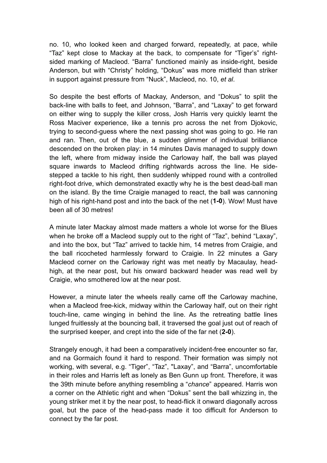no. 10, who looked keen and charged forward, repeatedly, at pace, while "Taz" kept close to Mackay at the back, to compensate for "Tiger's" rightsided marking of Macleod. "Barra" functioned mainly as inside-right, beside Anderson, but with "Christy" holding, "Dokus" was more midfield than striker in support against pressure from "Nuck", Macleod, no. 10, *et al*.

So despite the best efforts of Mackay, Anderson, and "Dokus" to split the back-line with balls to feet, and Johnson, "Barra", and "Laxay" to get forward on either wing to supply the killer cross, Josh Harris very quickly learnt the Ross Maciver experience, like a tennis pro across the net from Djokovic, trying to second-guess where the next passing shot was going to go. He ran and ran. Then, out of the blue, a sudden glimmer of individual brilliance descended on the broken play: in 14 minutes Davis managed to supply down the left, where from midway inside the Carloway half, the ball was played square inwards to Macleod drifting rightwards across the line. He sidestepped a tackle to his right, then suddenly whipped round with a controlled right-foot drive, which demonstrated exactly why he is the best dead-ball man on the island. By the time Craigie managed to react, the ball was cannoning high of his right-hand post and into the back of the net (**1-0**). Wow! Must have been all of 30 metres!

A minute later Mackay almost made matters a whole lot worse for the Blues when he broke off a Macleod supply out to the right of "Taz", behind "Laxay", and into the box, but "Taz" arrived to tackle him, 14 metres from Craigie, and the ball ricocheted harmlessly forward to Craigie. In 22 minutes a Gary Macleod corner on the Carloway right was met neatly by Macaulay, headhigh, at the near post, but his onward backward header was read well by Craigie, who smothered low at the near post.

However, a minute later the wheels really came off the Carloway machine, when a Macleod free-kick, midway within the Carloway half, out on their right touch-line, came winging in behind the line. As the retreating battle lines lunged fruitlessly at the bouncing ball, it traversed the goal just out of reach of the surprised keeper, and crept into the side of the far net (**2-0**).

Strangely enough, it had been a comparatively incident-free encounter so far, and na Gormaich found it hard to respond. Their formation was simply not working, with several, e.g. "Tiger", "Taz", "Laxay", and "Barra", uncomfortable in their roles and Harris left as lonely as Ben Gunn up front. Therefore, it was the 39th minute before anything resembling a "*chance*" appeared. Harris won a corner on the Athletic right and when "Dokus" sent the ball whizzing in, the young striker met it by the near post, to head-flick it onward diagonally across goal, but the pace of the head-pass made it too difficult for Anderson to connect by the far post.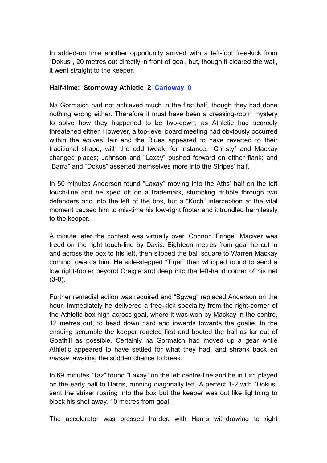In added-on time another opportunity arrived with a left-foot free-kick from "Dokus", 20 metres out directly in front of goal, but, though it cleared the wall, it went straight to the keeper.

## **Half-time: Stornoway Athletic 2 Carloway 0**

Na Gormaich had not achieved much in the first half, though they had done nothing wrong either. Therefore it must have been a dressing-room mystery to solve how they happened to be two-down, as Athletic had scarcely threatened either. However, a top-level board meeting had obviously occurred within the wolves' lair and the Blues appeared to have reverted to their traditional shape, with the odd tweak: for instance, "Christy" and Mackay changed places; Johnson and "Laxay" pushed forward on either flank; and "Barra" and "Dokus" asserted themselves more into the Stripes' half.

In 50 minutes Anderson found "Laxay" moving into the Aths' half on the left touch-line and he sped off on a trademark, stumbling dribble through two defenders and into the left of the box, but a "Koch" interception at the vital moment caused him to mis-time his low-right footer and it trundled harmlessly to the keeper.

A minute later the contest was virtually over. Connor "Fringe" Maciver was freed on the right touch-line by Davis. Eighteen metres from goal he cut in and across the box to his left, then slipped the ball square to Warren Mackay coming towards him. He side-stepped "Tiger" then whipped round to send a low right-footer beyond Craigie and deep into the left-hand corner of his net (**3-0**).

Further remedial action was required and "Sgweg" replaced Anderson on the hour. Immediately he delivered a free-kick speciality from the right-corner of the Athletic box high across goal, where it was won by Mackay in the centre, 12 metres out, to head down hard and inwards towards the goalie. In the ensuing scramble the keeper reacted first and booted the ball as far out of Goathill as possible. Certainly na Gormaich had moved up a gear while Athletic appeared to have settled for what they had, and shrank back *en masse*, awaiting the sudden chance to break.

In 69 minutes "Taz" found "Laxay" on the left centre-line and he in turn played on the early ball to Harris, running diagonally left. A perfect 1-2 with "Dokus" sent the striker roaring into the box but the keeper was out like lightning to block his shot away, 10 metres from goal.

The accelerator was pressed harder, with Harris withdrawing to right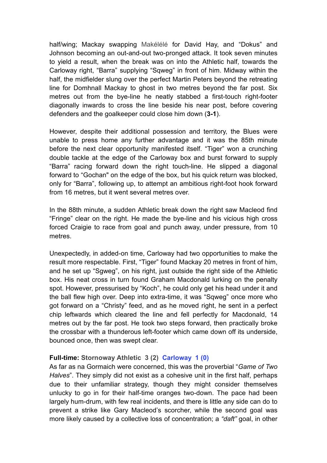half/wing; Mackay swapping Makélélé for David Hay, and "Dokus" and Johnson becoming an out-and-out two-pronged attack. It took seven minutes to yield a result, when the break was on into the Athletic half, towards the Carloway right, "Barra" supplying "Sqweg" in front of him. Midway within the half, the midfielder slung over the perfect Martin Peters beyond the retreating line for Domhnall Mackay to ghost in two metres beyond the far post. Six metres out from the bye-line he neatly stabbed a first-touch right-footer diagonally inwards to cross the line beside his near post, before covering defenders and the goalkeeper could close him down (**3-1**).

However, despite their additional possession and territory, the Blues were unable to press home any further advantage and it was the 85th minute before the next clear opportunity manifested itself. "Tiger" won a crunching double tackle at the edge of the Carloway box and burst forward to supply "Barra" racing forward down the right touch-line. He slipped a diagonal forward to "Gochan" on the edge of the box, but his quick return was blocked, only for "Barra", following up, to attempt an ambitious right-foot hook forward from 16 metres, but it went several metres over.

In the 88th minute, a sudden Athletic break down the right saw Macleod find "Fringe" clear on the right. He made the bye-line and his vicious high cross forced Craigie to race from goal and punch away, under pressure, from 10 metres.

Unexpectedly, in added-on time, Carloway had two opportunities to make the result more respectable. First, "Tiger" found Mackay 20 metres in front of him, and he set up "Sgweg", on his right, just outside the right side of the Athletic box. His neat cross in turn found Graham Macdonald lurking on the penalty spot. However, pressurised by "Koch", he could only get his head under it and the ball flew high over. Deep into extra-time, it was "Sqweg" once more who got forward on a "Christy" feed, and as he moved right, he sent in a perfect chip leftwards which cleared the line and fell perfectly for Macdonald, 14 metres out by the far post. He took two steps forward, then practically broke the crossbar with a thunderous left-footer which came down off its underside, bounced once, then was swept clear.

### **Full-time: Stornoway Athletic 3 (2) Carloway 1 (0)**

As far as na Gormaich were concerned, this was the proverbial "*Game of Two Halves*". They simply did not exist as a cohesive unit in the first half, perhaps due to their unfamiliar strategy, though they might consider themselves unlucky to go in for their half-time oranges two-down. The pace had been largely hum-drum, with few real incidents, and there is little any side can do to prevent a strike like Gary Macleod's scorcher, while the second goal was more likely caused by a collective loss of concentration; a *"daft"* goal, in other